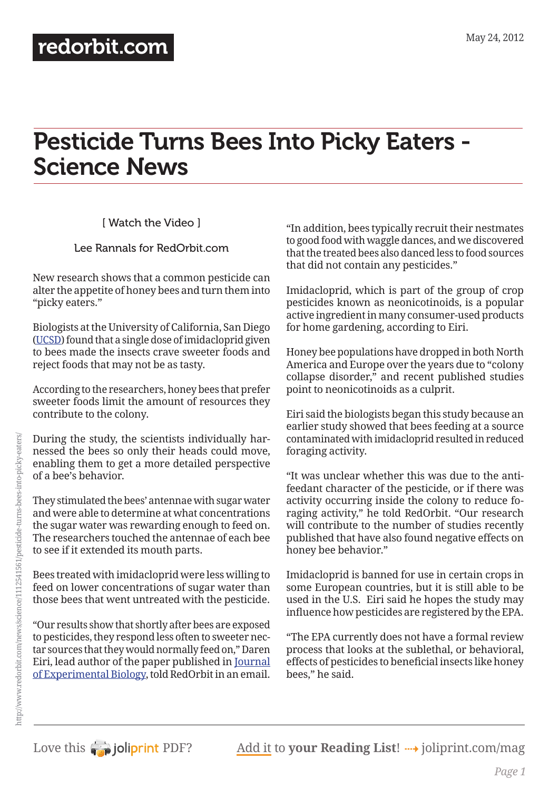## [redorbit.com](http://www.redorbit.com/)

# Pesticide Turns Bees Into Picky Eaters - Science News

[ Watch the Video ]

#### Lee Rannals for RedOrbit.com

New research shows that a common pesticide can alter the appetite of honey bees and turn them into "picky eaters."

Biologists at the University of California, San Diego [\(UCSD](http://www.ucsd.edu/)) found that a single dose of imidacloprid given to bees made the insects crave sweeter foods and reject foods that may not be as tasty.

According to the researchers, honey bees that prefer sweeter foods limit the amount of resources they contribute to the colony.

During the study, the scientists individually harnessed the bees so only their heads could move, enabling them to get a more detailed perspective of a bee's behavior.

They stimulated the bees' antennae with sugar water and were able to determine at what concentrations the sugar water was rewarding enough to feed on. The researchers touched the antennae of each bee to see if it extended its mouth parts.

Bees treated with imidacloprid were less willing to feed on lower concentrations of sugar water than those bees that went untreated with the pesticide.

"Our results show that shortly after bees are exposed to pesticides, they respond less often to sweeter nectar sources that they would normally feed on," Daren Eiri, lead author of the paper published in [Journal](http://jeb.biologists.org/)  [of Experimental Biology](http://jeb.biologists.org/), told RedOrbit in an email.

"In addition, bees typically recruit their nestmates to good food with waggle dances, and we discovered that the treated bees also danced less to food sources that did not contain any pesticides."

Imidacloprid, which is part of the group of crop pesticides known as neonicotinoids, is a popular active ingredient in many consumer-used products for home gardening, according to Eiri.

Honey bee populations have dropped in both North America and Europe over the years due to "colony collapse disorder," and recent published studies point to neonicotinoids as a culprit.

Eiri said the biologists began this study because an earlier study showed that bees feeding at a source contaminated with imidacloprid resulted in reduced foraging activity.

"It was unclear whether this was due to the antifeedant character of the pesticide, or if there was activity occurring inside the colony to reduce foraging activity," he told RedOrbit. "Our research will contribute to the number of studies recently published that have also found negative effects on honey bee behavior."

Imidacloprid is banned for use in certain crops in some European countries, but it is still able to be used in the U.S. Eiri said he hopes the study may influence how pesticides are registered by the EPA.

"The EPA currently does not have a formal review process that looks at the sublethal, or behavioral, effects of pesticides to beneficial insects like honey bees," he said.